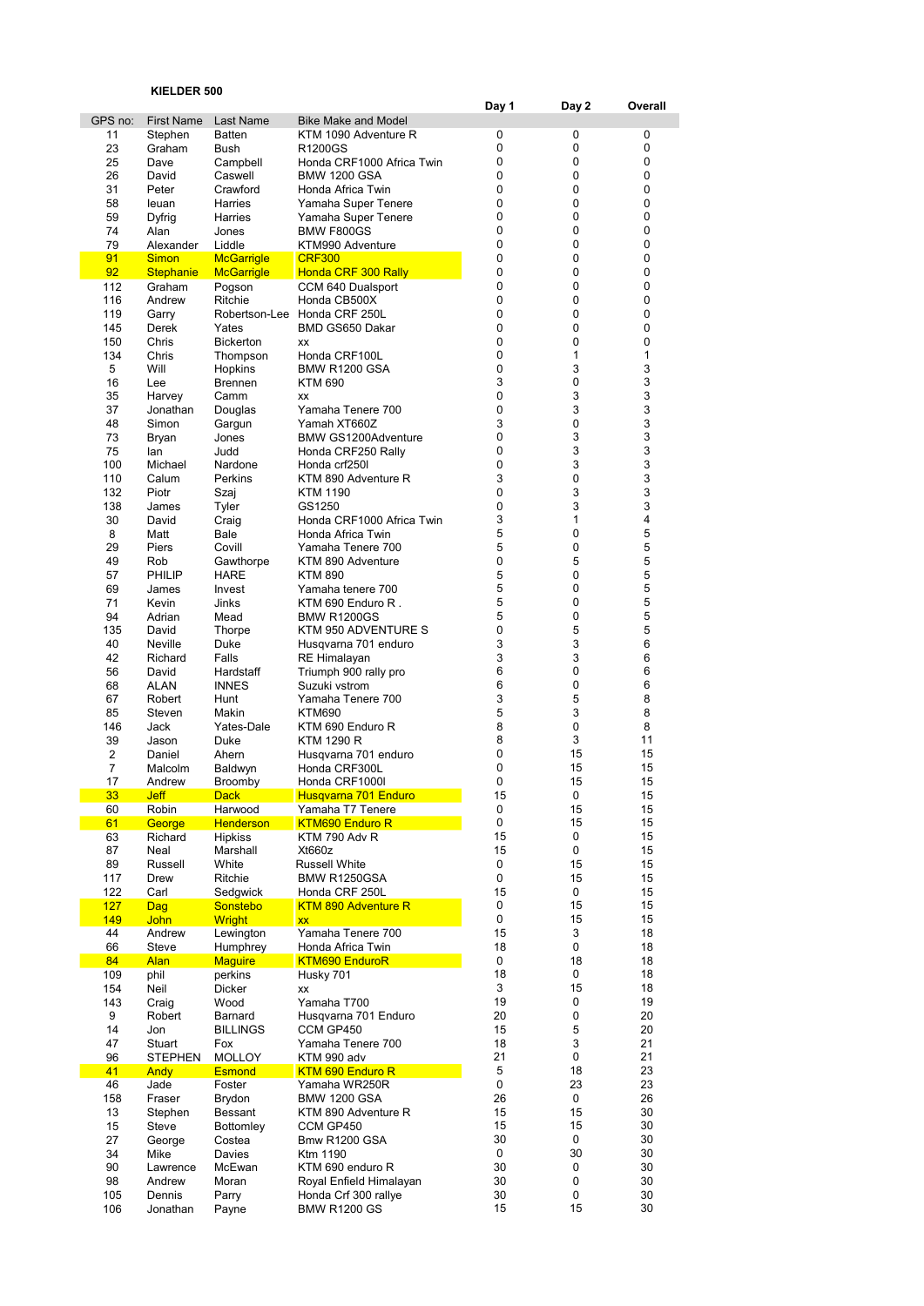## KIELDER 500

|            | KIELDER 500                |                           |                                        |          |                |              |
|------------|----------------------------|---------------------------|----------------------------------------|----------|----------------|--------------|
| GPS no:    | <b>First Name</b>          | Last Name                 | <b>Bike Make and Model</b>             | Day 1    | Day 2          | Overall      |
| 11         | Stephen                    | <b>Batten</b>             | KTM 1090 Adventure R                   | 0        | 0              | 0            |
| 23         | Graham                     | Bush                      | R1200GS                                | 0        | 0              | 0            |
| 25         | Dave                       | Campbell                  | Honda CRF1000 Africa Twin              | 0        | 0              | 0            |
| 26         | David                      | Caswell                   | <b>BMW 1200 GSA</b>                    | 0        | 0              | 0            |
| 31         | Peter                      | Crawford                  | Honda Africa Twin                      | 0        | 0              | 0            |
| 58         | leuan                      | <b>Harries</b>            | Yamaha Super Tenere                    | 0        | 0              | 0            |
| 59         | Dyfrig                     | Harries                   | Yamaha Super Tenere                    | 0        | 0              | 0            |
| 74         | Alan                       | Jones                     | <b>BMW F800GS</b>                      | 0        | 0              | 0            |
| 79         | Alexander                  | Liddle                    | KTM990 Adventure                       | 0        | 0              | 0            |
| 91         | <b>Simon</b>               | <b>McGarrigle</b>         | <b>CRF300</b>                          | 0        | 0              | 0            |
| 92<br>112  | <b>Stephanie</b><br>Graham | <b>McGarrigle</b>         | Honda CRF 300 Rally                    | 0<br>0   | 0<br>0         | 0<br>0       |
| 116        | Andrew                     | Pogson<br>Ritchie         | CCM 640 Dualsport<br>Honda CB500X      | 0        | 0              | 0            |
| 119        | Garry                      |                           | Robertson-Lee Honda CRF 250L           | 0        | 0              | 0            |
| 145        | Derek                      | Yates                     | BMD GS650 Dakar                        | 0        | 0              | 0            |
| 150        | Chris                      | <b>Bickerton</b>          | XX                                     | 0        | 0              | 0            |
| 134        | Chris                      | Thompson                  | Honda CRF100L                          | 0        | $\mathbf 1$    | $\mathbf{1}$ |
| 5          | Will                       | Hopkins                   | <b>BMW R1200 GSA</b>                   | 0        | 3              | 3            |
| 16         | Lee                        | <b>Brennen</b>            | KTM 690                                | 3        | 0              | 3            |
| 35         | Harvey                     | Camm                      | <b>XX</b>                              | 0        | 3              | 3            |
| 37         | Jonathan                   | Douglas                   | Yamaha Tenere 700                      | 0        | 3              | 3            |
| 48         | Simon                      | Gargun                    | Yamah XT660Z                           | 3        | 0              | 3            |
| 73         | Bryan                      | Jones                     | <b>BMW GS1200Adventure</b>             | 0        | 3              | 3            |
| 75         | lan                        | Judd                      | Honda CRF250 Rally                     | 0        | 3              | 3<br>3       |
| 100        | Michael                    | Nardone                   | Honda crf250l                          | 0<br>3   | 3<br>0         | 3            |
| 110<br>132 | Calum<br>Piotr             | Perkins<br>Szaj           | KTM 890 Adventure R<br>KTM 1190        | 0        | 3              | 3            |
| 138        | James                      | Tyler                     | GS1250                                 | 0        | 3              | 3            |
| 30         | David                      | Craig                     | Honda CRF1000 Africa Twin              | 3        | $\mathbf{1}$   | 4            |
| 8          | Matt                       | Bale                      | Honda Africa Twin                      | 5        | 0              | 5            |
| 29         | Piers                      | Covill                    | Yamaha Tenere 700                      | 5        | 0              | 5            |
| 49         | Rob                        | Gawthorpe                 | KTM 890 Adventure                      | 0        | 5              | 5            |
| 57         | PHILIP                     | HARE                      | KTM 890                                | 5        | 0              | 5            |
| 69         | James                      | Invest                    | Yamaha tenere 700                      | 5        | 0              | 5            |
| 71         | Kevin                      | Jinks                     | KTM 690 Enduro R.                      | 5        | 0              | 5            |
| 94         | Adrian                     | Mead                      | <b>BMW R1200GS</b>                     | 5        | 0              | 5            |
| 135        | David                      | Thorpe                    | KTM 950 ADVENTURE S                    | 0        | 5              | 5            |
| 40         | Neville                    | Duke                      | Husqvarna 701 enduro                   | 3        | 3              | 6            |
| 42         | Richard                    | Falls                     | <b>RE Himalayan</b>                    | 3        | 3<br>0         | 6<br>6       |
| 56<br>68   | David<br>ALAN              | Hardstaff<br><b>INNES</b> | Triumph 900 rally pro<br>Suzuki vstrom | 6<br>6   | 0              | 6            |
| 67         | Robert                     | Hunt                      | Yamaha Tenere 700                      | 3        | 5              | 8            |
| 85         | Steven                     | Makin                     | KTM690                                 | 5        | 3              | 8            |
| 146        | Jack                       | Yates-Dale                | KTM 690 Enduro R                       | 8        | 0              | 8            |
| 39         | Jason                      | Duke                      | KTM 1290 R                             | 8        | 3              | 11           |
| 2          | Daniel                     | Ahern                     | Husqvarna 701 enduro                   | 0        | 15             | 15           |
| 7          | Malcolm                    | Baldwyn                   | Honda CRF300L                          | 0        | 15             | 15           |
| 17         | Andrew                     | Broomby                   | Honda CRF1000I                         | 0        | 15             | 15           |
| 33         | <b>Jeff</b>                | <b>Dack</b>               | Husqvarna 701 Enduro                   | 15       | 0              | 15           |
| 60         | Robin                      | Harwood                   | Yamaha T7 Tenere                       | 0        | 15             | 15           |
| 61         | George                     | <b>Henderson</b>          | <b>KTM690 Enduro R</b>                 | 0        | 15             | 15           |
| 63         | Richard                    | <b>Hipkiss</b>            | KTM 790 Adv R                          | 15       | 0<br>0         | 15           |
| 87<br>89   | Neal<br>Russell            | Marshall<br>White         | Xt660z<br>Russell White                | 15<br>0  | 15             | 15<br>15     |
| 117        | Drew                       | Ritchie                   | BMW R1250GSA                           | 0        | 15             | 15           |
| 122        | Carl                       | Sedgwick                  | Honda CRF 250L                         | 15       | 0              | 15           |
| 127        | Dag                        | <b>Sonstebo</b>           | <b>KTM 890 Adventure R</b>             | 0        | 15             | 15           |
| 149        | John                       | <b>Wright</b>             | <b>XX</b>                              | 0        | 15             | 15           |
| 44         | Andrew                     | Lewington                 | Yamaha Tenere 700                      | 15       | 3              | 18           |
| 66         | Steve                      | Humphrey                  | Honda Africa Twin                      | 18       | 0              | 18           |
| 84         | <b>Alan</b>                | <b>Maguire</b>            | <b>KTM690 EnduroR</b>                  | 0        | 18             | 18           |
| 109        | phil                       | perkins                   | Husky 701                              | 18       | 0              | 18           |
| 154        | Neil                       | Dicker                    | XX                                     | 3        | 15             | 18           |
| 143        | Craig                      | Wood                      | Yamaha T700                            | 19       | 0              | 19           |
| 9          | Robert                     | Barnard                   | Husqvarna 701 Enduro                   | 20       | $\pmb{0}$<br>5 | 20           |
| 14<br>47   | Jon<br>Stuart              | <b>BILLINGS</b><br>Fox    | CCM GP450<br>Yamaha Tenere 700         | 15<br>18 | 3              | 20<br>21     |
| 96         | STEPHEN                    | <b>MOLLOY</b>             | KTM 990 adv                            | 21       | 0              | 21           |
| 41         | <b>Andy</b>                | <b>Esmond</b>             | <b>KTM 690 Enduro R</b>                | 5        | 18             | 23           |
| 46         | Jade                       | Foster                    | Yamaha WR250R                          | 0        | 23             | 23           |
| 158        | Fraser                     | Brydon                    | <b>BMW 1200 GSA</b>                    | 26       | 0              | 26           |
| 13         | Stephen                    | Bessant                   | KTM 890 Adventure R                    | 15       | 15             | 30           |
| 15         | Steve                      | Bottomley                 | CCM GP450                              | 15       | 15             | 30           |
| 27         | George                     | Costea                    | Bmw R1200 GSA                          | 30       | 0              | 30           |
| 34         | Mike                       | Davies                    | Ktm 1190                               | 0        | 30             | 30           |
| 90         | Lawrence                   | McEwan                    | KTM 690 enduro R                       | 30       | 0              | 30           |
| 98         | Andrew                     | Moran                     | Royal Enfield Himalayan                | 30       | 0              | 30           |
| 105        | Dennis                     | Parry                     | Honda Crf 300 rallye                   | 30       | 0              | 30           |
| 106        | Jonathan                   | Payne                     | <b>BMW R1200 GS</b>                    | 15       | 15             | 30           |